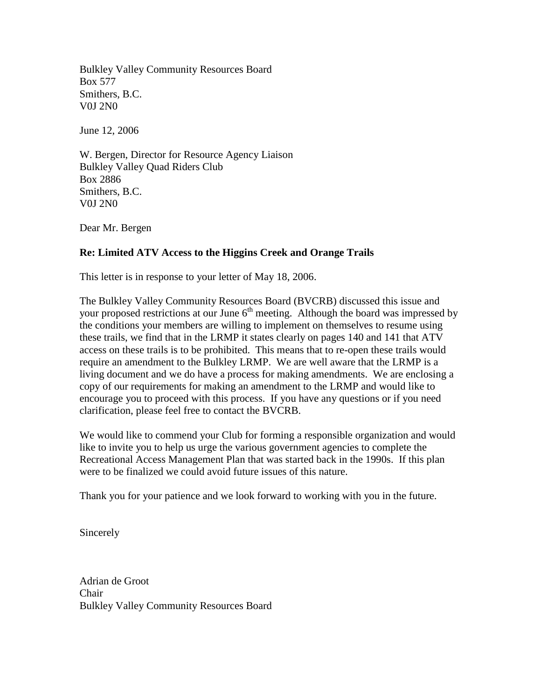Bulkley Valley Community Resources Board Box 577 Smithers, B.C. V0J 2N0

June 12, 2006

W. Bergen, Director for Resource Agency Liaison Bulkley Valley Quad Riders Club Box 2886 Smithers, B.C. V0J 2N0

Dear Mr. Bergen

## **Re: Limited ATV Access to the Higgins Creek and Orange Trails**

This letter is in response to your letter of May 18, 2006.

The Bulkley Valley Community Resources Board (BVCRB) discussed this issue and your proposed restrictions at our June  $6<sup>th</sup>$  meeting. Although the board was impressed by the conditions your members are willing to implement on themselves to resume using these trails, we find that in the LRMP it states clearly on pages 140 and 141 that ATV access on these trails is to be prohibited. This means that to re-open these trails would require an amendment to the Bulkley LRMP. We are well aware that the LRMP is a living document and we do have a process for making amendments. We are enclosing a copy of our requirements for making an amendment to the LRMP and would like to encourage you to proceed with this process. If you have any questions or if you need clarification, please feel free to contact the BVCRB.

We would like to commend your Club for forming a responsible organization and would like to invite you to help us urge the various government agencies to complete the Recreational Access Management Plan that was started back in the 1990s. If this plan were to be finalized we could avoid future issues of this nature.

Thank you for your patience and we look forward to working with you in the future.

Sincerely

Adrian de Groot Chair Bulkley Valley Community Resources Board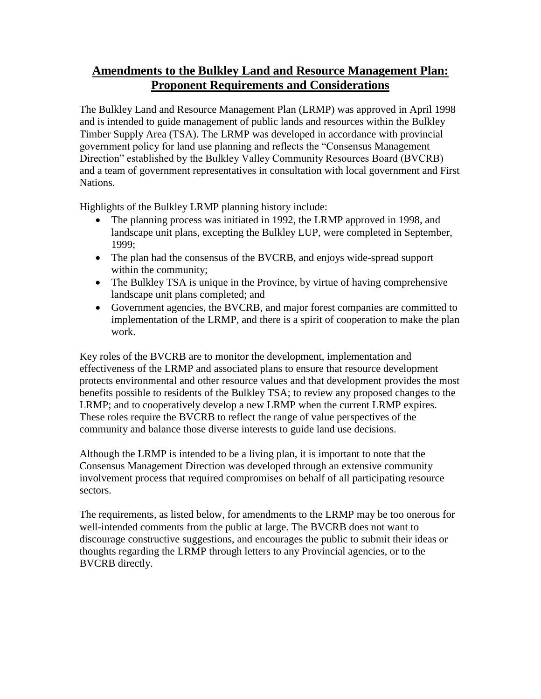## **Amendments to the Bulkley Land and Resource Management Plan: Proponent Requirements and Considerations**

The Bulkley Land and Resource Management Plan (LRMP) was approved in April 1998 and is intended to guide management of public lands and resources within the Bulkley Timber Supply Area (TSA). The LRMP was developed in accordance with provincial government policy for land use planning and reflects the "Consensus Management Direction" established by the Bulkley Valley Community Resources Board (BVCRB) and a team of government representatives in consultation with local government and First Nations.

Highlights of the Bulkley LRMP planning history include:

- The planning process was initiated in 1992, the LRMP approved in 1998, and landscape unit plans, excepting the Bulkley LUP, were completed in September, 1999;
- The plan had the consensus of the BVCRB, and enjoys wide-spread support within the community;
- The Bulkley TSA is unique in the Province, by virtue of having comprehensive landscape unit plans completed; and
- Government agencies, the BVCRB, and major forest companies are committed to implementation of the LRMP, and there is a spirit of cooperation to make the plan work.

Key roles of the BVCRB are to monitor the development, implementation and effectiveness of the LRMP and associated plans to ensure that resource development protects environmental and other resource values and that development provides the most benefits possible to residents of the Bulkley TSA; to review any proposed changes to the LRMP; and to cooperatively develop a new LRMP when the current LRMP expires. These roles require the BVCRB to reflect the range of value perspectives of the community and balance those diverse interests to guide land use decisions.

Although the LRMP is intended to be a living plan, it is important to note that the Consensus Management Direction was developed through an extensive community involvement process that required compromises on behalf of all participating resource sectors.

The requirements, as listed below, for amendments to the LRMP may be too onerous for well-intended comments from the public at large. The BVCRB does not want to discourage constructive suggestions, and encourages the public to submit their ideas or thoughts regarding the LRMP through letters to any Provincial agencies, or to the BVCRB directly.